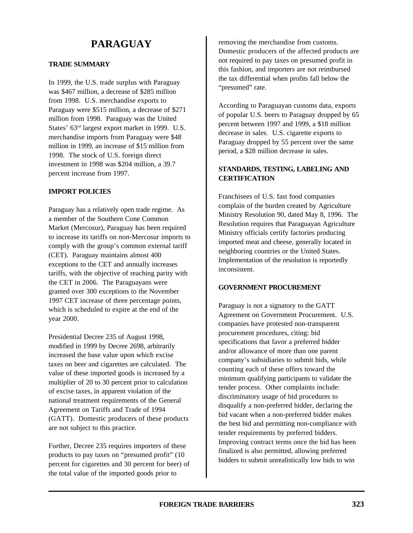# **PARAGUAY**

# **TRADE SUMMARY**

In 1999, the U.S. trade surplus with Paraguay was \$467 million, a decrease of \$285 million from 1998. U.S. merchandise exports to Paraguay were \$515 million, a decrease of \$271 million from 1998. Paraguay was the United States' 63rd largest export market in 1999. U.S. merchandise imports from Paraguay were \$48 million in 1999, an increase of \$15 million from 1998. The stock of U.S. foreign direct investment in 1998 was \$204 million, a 39.7 percent increase from 1997.

## **IMPORT POLICIES**

Paraguay has a relatively open trade regime. As a member of the Southern Cone Common Market (Mercosur), Paraguay has been required to increase its tariffs on non-Mercosur imports to comply with the group's common external tariff (CET). Paraguay maintains almost 400 exceptions to the CET and annually increases tariffs, with the objective of reaching parity with the CET in 2006. The Paraguayans were granted over 300 exceptions to the November 1997 CET increase of three percentage points, which is scheduled to expire at the end of the year 2000.

Presidential Decree 235 of August 1998, modified in 1999 by Decree 2698, arbitrarily increased the base value upon which excise taxes on beer and cigarettes are calculated. The value of these imported goods is increased by a multiplier of 20 to 30 percent prior to calculation of excise taxes, in apparent violation of the national treatment requirements of the General Agreement on Tariffs and Trade of 1994 (GATT). Domestic producers of these products are not subject to this practice.

Further, Decree 235 requires importers of these products to pay taxes on "presumed profit" (10 percent for cigarettes and 30 percent for beer) of the total value of the imported goods prior to

removing the merchandise from customs. Domestic producers of the affected products are not required to pay taxes on presumed profit in this fashion, and importers are not reimbursed the tax differential when profits fall below the "presumed" rate.

According to Paraguayan customs data, exports of popular U.S. beers to Paraguay dropped by 65 percent between 1997 and 1999, a \$18 million decrease in sales. U.S. cigarette exports to Paraguay dropped by 55 percent over the same period, a \$28 million decrease in sales.

# **STANDARDS, TESTING, LABELING AND CERTIFICATION**

Franchisees of U.S. fast food companies complain of the burden created by Agriculture Ministry Resolution 90, dated May 8, 1996. The Resolution requires that Paraguayan Agriculture Ministry officials certify factories producing imported meat and cheese, generally located in neighboring countries or the United States. Implementation of the resolution is reportedly inconsistent.

# **GOVERNMENT PROCUREMENT**

Paraguay is not a signatory to the GATT Agreement on Government Procurement. U.S. companies have protested non-transparent procurement procedures, citing: bid specifications that favor a preferred bidder and/or allowance of more than one parent company's subsidiaries to submit bids, while counting each of these offers toward the minimum qualifying participants to validate the tender process. Other complaints include: discriminatory usage of bid procedures to disqualify a non-preferred bidder, declaring the bid vacant when a non-preferred bidder makes the best bid and permitting non-compliance with tender requirements by preferred bidders. Improving contract terms once the bid has been finalized is also permitted, allowing preferred bidders to submit unrealistically low bids to win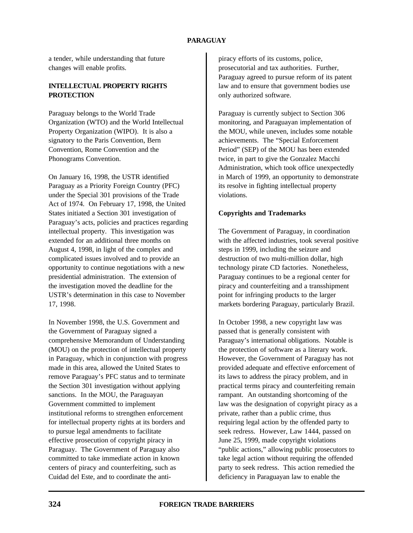# **PARAGUAY**

a tender, while understanding that future changes will enable profits.

# **INTELLECTUAL PROPERTY RIGHTS PROTECTION**

Paraguay belongs to the World Trade Organization (WTO) and the World Intellectual Property Organization (WIPO). It is also a signatory to the Paris Convention, Bern Convention, Rome Convention and the Phonograms Convention.

On January 16, 1998, the USTR identified Paraguay as a Priority Foreign Country (PFC) under the Special 301 provisions of the Trade Act of 1974. On February 17, 1998, the United States initiated a Section 301 investigation of Paraguay's acts, policies and practices regarding intellectual property. This investigation was extended for an additional three months on August 4, 1998, in light of the complex and complicated issues involved and to provide an opportunity to continue negotiations with a new presidential administration. The extension of the investigation moved the deadline for the USTR's determination in this case to November 17, 1998.

In November 1998, the U.S. Government and the Government of Paraguay signed a comprehensive Memorandum of Understanding (MOU) on the protection of intellectual property in Paraguay, which in conjunction with progress made in this area, allowed the United States to remove Paraguay's PFC status and to terminate the Section 301 investigation without applying sanctions. In the MOU, the Paraguayan Government committed to implement institutional reforms to strengthen enforcement for intellectual property rights at its borders and to pursue legal amendments to facilitate effective prosecution of copyright piracy in Paraguay. The Government of Paraguay also committed to take immediate action in known centers of piracy and counterfeiting, such as Cuidad del Este, and to coordinate the antipiracy efforts of its customs, police, prosecutorial and tax authorities. Further, Paraguay agreed to pursue reform of its patent law and to ensure that government bodies use only authorized software.

Paraguay is currently subject to Section 306 monitoring, and Paraguayan implementation of the MOU, while uneven, includes some notable achievements. The "Special Enforcement Period" (SEP) of the MOU has been extended twice, in part to give the Gonzalez Macchi Administration, which took office unexpectedly in March of 1999, an opportunity to demonstrate its resolve in fighting intellectual property violations.

#### **Copyrights and Trademarks**

The Government of Paraguay, in coordination with the affected industries, took several positive steps in 1999, including the seizure and destruction of two multi-million dollar, high technology pirate CD factories. Nonetheless, Paraguay continues to be a regional center for piracy and counterfeiting and a transshipment point for infringing products to the larger markets bordering Paraguay, particularly Brazil.

In October 1998, a new copyright law was passed that is generally consistent with Paraguay's international obligations. Notable is the protection of software as a literary work. However, the Government of Paraguay has not provided adequate and effective enforcement of its laws to address the piracy problem, and in practical terms piracy and counterfeiting remain rampant. An outstanding shortcoming of the law was the designation of copyright piracy as a private, rather than a public crime, thus requiring legal action by the offended party to seek redress. However, Law 1444, passed on June 25, 1999, made copyright violations "public actions," allowing public prosecutors to take legal action without requiring the offended party to seek redress. This action remedied the deficiency in Paraguayan law to enable the